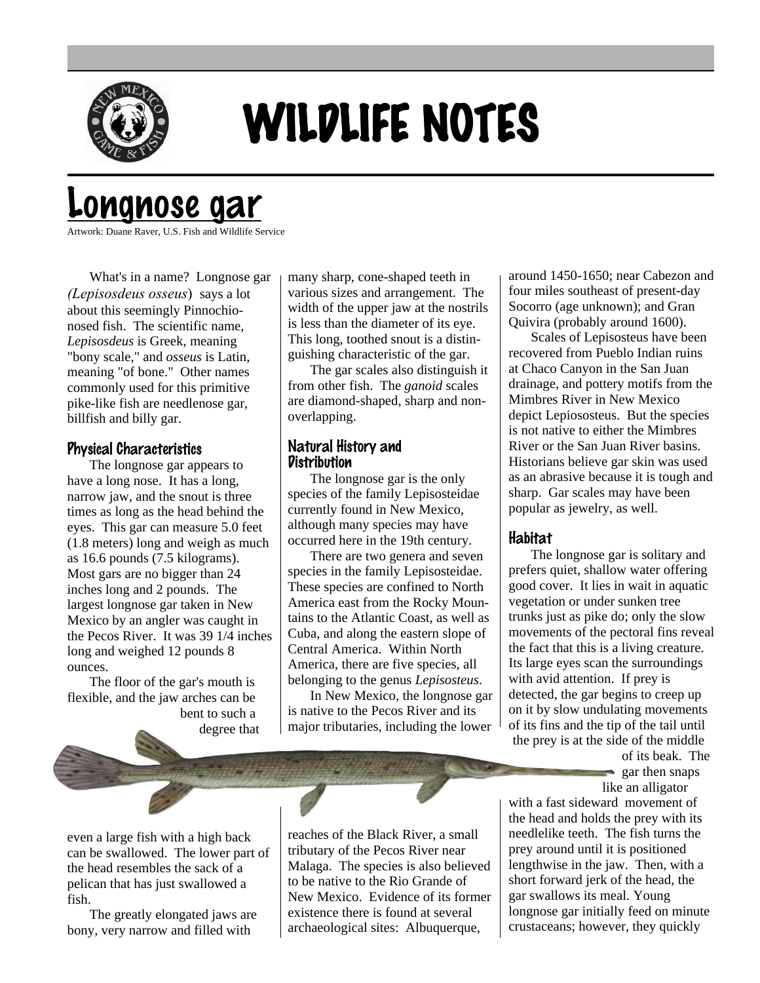

# WILDLIFE NOTES

# Longnose gar

Artwork: Duane Raver, U.S. Fish and Wildlife Service

What's in a name? Longnose gar *(Lepisosdeus osseus*) says a lot about this seemingly Pinnochionosed fish. The scientific name, *Lepisosdeus* is Greek, meaning "bony scale," and *osseus* is Latin, meaning "of bone." Other names commonly used for this primitive pike-like fish are needlenose gar, billfish and billy gar.

#### Physical Characteristics

The longnose gar appears to have a long nose. It has a long, narrow jaw, and the snout is three times as long as the head behind the eyes. This gar can measure 5.0 feet (1.8 meters) long and weigh as much as 16.6 pounds (7.5 kilograms). Most gars are no bigger than 24 inches long and 2 pounds. The largest longnose gar taken in New Mexico by an angler was caught in the Pecos River. It was 39 1/4 inches long and weighed 12 pounds 8 ounces.

The floor of the gar's mouth is flexible, and the jaw arches can be bent to such a degree that many sharp, cone-shaped teeth in various sizes and arrangement. The width of the upper jaw at the nostrils is less than the diameter of its eye. This long, toothed snout is a distinguishing characteristic of the gar.

The gar scales also distinguish it from other fish. The *ganoid* scales are diamond-shaped, sharp and nonoverlapping.

### Natural History and Distribution

The longnose gar is the only species of the family Lepisosteidae currently found in New Mexico, although many species may have occurred here in the 19th century.

There are two genera and seven species in the family Lepisosteidae. These species are confined to North America east from the Rocky Mountains to the Atlantic Coast, as well as Cuba, and along the eastern slope of Central America. Within North America, there are five species, all belonging to the genus *Lepisosteus*.

In New Mexico, the longnose gar is native to the Pecos River and its major tributaries, including the lower

even a large fish with a high back can be swallowed. The lower part of the head resembles the sack of a pelican that has just swallowed a fish.

The greatly elongated jaws are bony, very narrow and filled with

reaches of the Black River, a small tributary of the Pecos River near Malaga. The species is also believed to be native to the Rio Grande of New Mexico. Evidence of its former existence there is found at several archaeological sites: Albuquerque,

around 1450-1650; near Cabezon and four miles southeast of present-day Socorro (age unknown); and Gran Quivira (probably around 1600).

Scales of Lepisosteus have been recovered from Pueblo Indian ruins at Chaco Canyon in the San Juan drainage, and pottery motifs from the Mimbres River in New Mexico depict Lepiososteus. But the species is not native to either the Mimbres River or the San Juan River basins. Historians believe gar skin was used as an abrasive because it is tough and sharp. Gar scales may have been popular as jewelry, as well.

# Habitat

The longnose gar is solitary and prefers quiet, shallow water offering good cover. It lies in wait in aquatic vegetation or under sunken tree trunks just as pike do; only the slow movements of the pectoral fins reveal the fact that this is a living creature. Its large eyes scan the surroundings with avid attention. If prey is detected, the gar begins to creep up on it by slow undulating movements of its fins and the tip of the tail until the prey is at the side of the middle

> of its beak. The **gar then snaps** like an alligator

with a fast sideward movement of the head and holds the prey with its needlelike teeth. The fish turns the prey around until it is positioned lengthwise in the jaw. Then, with a short forward jerk of the head, the gar swallows its meal. Young longnose gar initially feed on minute crustaceans; however, they quickly